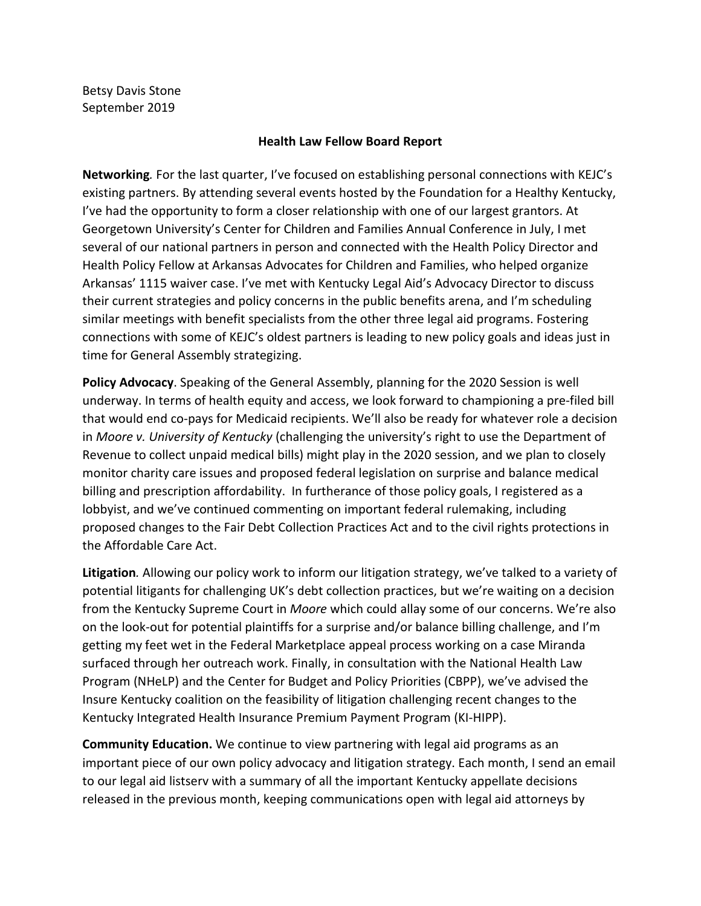Betsy Davis Stone September 2019

## **Health Law Fellow Board Report**

**Networking***.* For the last quarter, I've focused on establishing personal connections with KEJC's existing partners. By attending several events hosted by the Foundation for a Healthy Kentucky, I've had the opportunity to form a closer relationship with one of our largest grantors. At Georgetown University's Center for Children and Families Annual Conference in July, I met several of our national partners in person and connected with the Health Policy Director and Health Policy Fellow at Arkansas Advocates for Children and Families, who helped organize Arkansas' 1115 waiver case. I've met with Kentucky Legal Aid's Advocacy Director to discuss their current strategies and policy concerns in the public benefits arena, and I'm scheduling similar meetings with benefit specialists from the other three legal aid programs. Fostering connections with some of KEJC's oldest partners is leading to new policy goals and ideas just in time for General Assembly strategizing.

**Policy Advocacy**. Speaking of the General Assembly, planning for the 2020 Session is well underway. In terms of health equity and access, we look forward to championing a pre-filed bill that would end co-pays for Medicaid recipients. We'll also be ready for whatever role a decision in *Moore v. University of Kentucky* (challenging the university's right to use the Department of Revenue to collect unpaid medical bills) might play in the 2020 session, and we plan to closely monitor charity care issues and proposed federal legislation on surprise and balance medical billing and prescription affordability. In furtherance of those policy goals, I registered as a lobbyist, and we've continued commenting on important federal rulemaking, including proposed changes to the Fair Debt Collection Practices Act and to the civil rights protections in the Affordable Care Act.

**Litigation***.* Allowing our policy work to inform our litigation strategy, we've talked to a variety of potential litigants for challenging UK's debt collection practices, but we're waiting on a decision from the Kentucky Supreme Court in *Moore* which could allay some of our concerns. We're also on the look-out for potential plaintiffs for a surprise and/or balance billing challenge, and I'm getting my feet wet in the Federal Marketplace appeal process working on a case Miranda surfaced through her outreach work. Finally, in consultation with the National Health Law Program (NHeLP) and the Center for Budget and Policy Priorities (CBPP), we've advised the Insure Kentucky coalition on the feasibility of litigation challenging recent changes to the Kentucky Integrated Health Insurance Premium Payment Program (KI-HIPP).

**Community Education.** We continue to view partnering with legal aid programs as an important piece of our own policy advocacy and litigation strategy. Each month, I send an email to our legal aid listserv with a summary of all the important Kentucky appellate decisions released in the previous month, keeping communications open with legal aid attorneys by